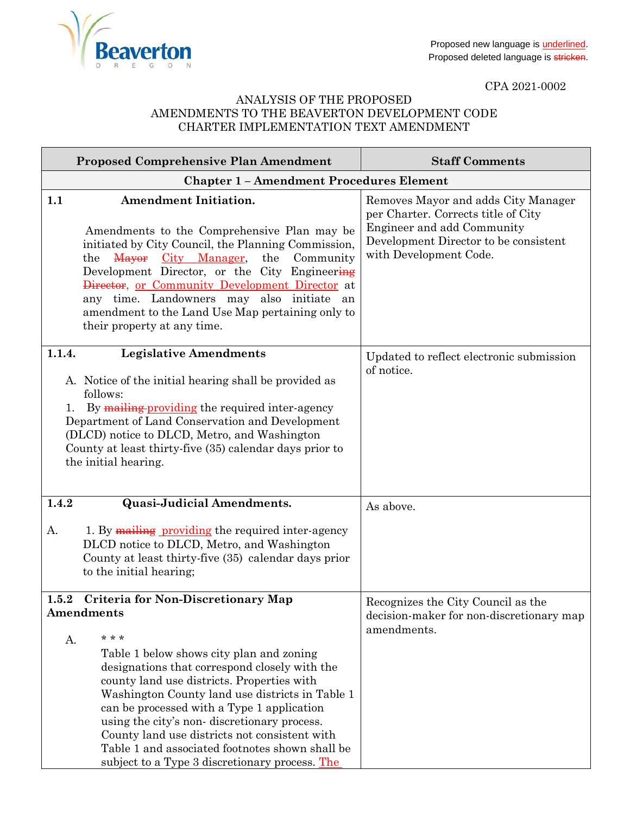

CPA 2021-0002

## ANALYSIS OF THE PROPOSED AMENDMENTS TO THE BEAVERTON DEVELOPMENT CODE CHARTER IMPLEMENTATION TEXT AMENDMENT

|             | <b>Proposed Comprehensive Plan Amendment</b>                                                                                                                                                                                                                                                                                                                                                                                                                                                                      | <b>Staff Comments</b>                                                                                                                                                       |
|-------------|-------------------------------------------------------------------------------------------------------------------------------------------------------------------------------------------------------------------------------------------------------------------------------------------------------------------------------------------------------------------------------------------------------------------------------------------------------------------------------------------------------------------|-----------------------------------------------------------------------------------------------------------------------------------------------------------------------------|
|             | <b>Chapter 1 - Amendment Procedures Element</b>                                                                                                                                                                                                                                                                                                                                                                                                                                                                   |                                                                                                                                                                             |
| 1.1         | <b>Amendment Initiation.</b><br>Amendments to the Comprehensive Plan may be<br>initiated by City Council, the Planning Commission,<br>the Mayor City Manager,<br>the<br>Community<br>Development Director, or the City Engineering<br>Director, or Community Development Director at<br>any time. Landowners may also initiate an<br>amendment to the Land Use Map pertaining only to<br>their property at any time.                                                                                              | Removes Mayor and adds City Manager<br>per Charter. Corrects title of City<br>Engineer and add Community<br>Development Director to be consistent<br>with Development Code. |
| 1.1.4.      | <b>Legislative Amendments</b><br>A. Notice of the initial hearing shall be provided as<br>follows:<br>By mailing providing the required inter-agency<br>Department of Land Conservation and Development<br>(DLCD) notice to DLCD, Metro, and Washington<br>County at least thirty-five (35) calendar days prior to<br>the initial hearing.                                                                                                                                                                        | Updated to reflect electronic submission<br>of notice.                                                                                                                      |
| 1.4.2       | <b>Quasi-Judicial Amendments.</b>                                                                                                                                                                                                                                                                                                                                                                                                                                                                                 | As above.                                                                                                                                                                   |
| A.          | 1. By mailing providing the required inter-agency<br>DLCD notice to DLCD, Metro, and Washington<br>County at least thirty-five (35) calendar days prior<br>to the initial hearing;                                                                                                                                                                                                                                                                                                                                |                                                                                                                                                                             |
| 1.5.2<br>А. | <b>Criteria for Non-Discretionary Map</b><br>Amendments<br>* * *<br>Table 1 below shows city plan and zoning<br>designations that correspond closely with the<br>county land use districts. Properties with<br>Washington County land use districts in Table 1<br>can be processed with a Type 1 application<br>using the city's non-discretionary process.<br>County land use districts not consistent with<br>Table 1 and associated footnotes shown shall be<br>subject to a Type 3 discretionary process. The | Recognizes the City Council as the<br>decision-maker for non-discretionary map<br>amendments.                                                                               |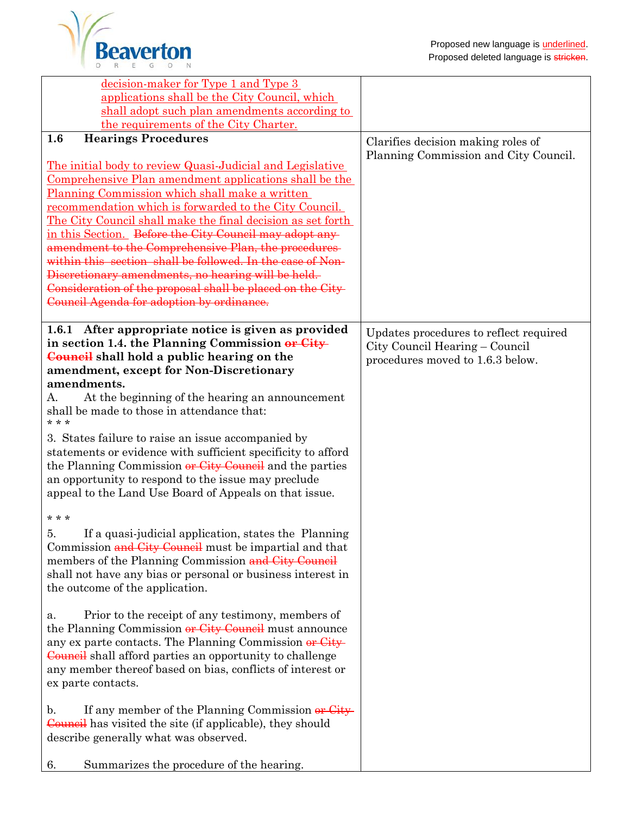

| decision-maker for Type 1 and Type 3                                                                               |                                                                             |
|--------------------------------------------------------------------------------------------------------------------|-----------------------------------------------------------------------------|
| applications shall be the City Council, which<br>shall adopt such plan amendments according to                     |                                                                             |
| the requirements of the City Charter.                                                                              |                                                                             |
| <b>Hearings Procedures</b><br>1.6                                                                                  |                                                                             |
|                                                                                                                    | Clarifies decision making roles of<br>Planning Commission and City Council. |
| The initial body to review Quasi-Judicial and Legislative                                                          |                                                                             |
| Comprehensive Plan amendment applications shall be the                                                             |                                                                             |
| Planning Commission which shall make a written                                                                     |                                                                             |
| recommendation which is forwarded to the City Council.                                                             |                                                                             |
| The City Council shall make the final decision as set forth                                                        |                                                                             |
| in this Section. Before the City Council may adopt any                                                             |                                                                             |
| amendment to the Comprehensive Plan, the procedures-                                                               |                                                                             |
| within this section shall be followed. In the case of Non-                                                         |                                                                             |
| Discretionary amendments, no hearing will be held.                                                                 |                                                                             |
| Consideration of the proposal shall be placed on the City-                                                         |                                                                             |
| Council Agenda for adoption by ordinance.                                                                          |                                                                             |
|                                                                                                                    |                                                                             |
| 1.6.1 After appropriate notice is given as provided<br>in section 1.4. the Planning Commission or City             | Updates procedures to reflect required                                      |
| Council shall hold a public hearing on the                                                                         | City Council Hearing – Council                                              |
| amendment, except for Non-Discretionary                                                                            | procedures moved to 1.6.3 below.                                            |
| amendments.                                                                                                        |                                                                             |
| At the beginning of the hearing an announcement<br>А.                                                              |                                                                             |
| shall be made to those in attendance that:                                                                         |                                                                             |
| * * *                                                                                                              |                                                                             |
| 3. States failure to raise an issue accompanied by                                                                 |                                                                             |
| statements or evidence with sufficient specificity to afford                                                       |                                                                             |
| the Planning Commission or City Council and the parties                                                            |                                                                             |
| an opportunity to respond to the issue may preclude                                                                |                                                                             |
| appeal to the Land Use Board of Appeals on that issue.                                                             |                                                                             |
| * * *                                                                                                              |                                                                             |
|                                                                                                                    |                                                                             |
| If a quasi-judicial application, states the Planning<br>5.                                                         |                                                                             |
| Commission and City Council must be impartial and that                                                             |                                                                             |
| members of the Planning Commission and City Council<br>shall not have any bias or personal or business interest in |                                                                             |
| the outcome of the application.                                                                                    |                                                                             |
|                                                                                                                    |                                                                             |
| Prior to the receipt of any testimony, members of<br>a.                                                            |                                                                             |
| the Planning Commission or City Council must announce                                                              |                                                                             |
| any ex parte contacts. The Planning Commission or City-                                                            |                                                                             |
| Council shall afford parties an opportunity to challenge                                                           |                                                                             |
| any member thereof based on bias, conflicts of interest or                                                         |                                                                             |
| ex parte contacts.                                                                                                 |                                                                             |
|                                                                                                                    |                                                                             |
| If any member of the Planning Commission or City-<br>$\mathbf{b}$ .                                                |                                                                             |
| <b>Council</b> has visited the site (if applicable), they should                                                   |                                                                             |
| describe generally what was observed.                                                                              |                                                                             |
|                                                                                                                    |                                                                             |
| Summarizes the procedure of the hearing.<br>6.                                                                     |                                                                             |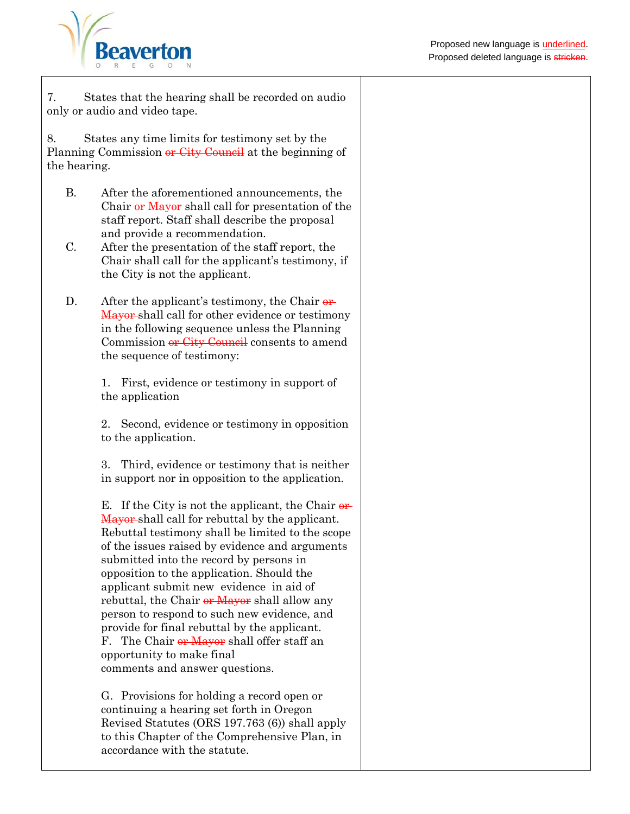

7. States that the hearing shall be recorded on audio only or audio and video tape.

8. States any time limits for testimony set by the Planning Commission or City Council at the beginning of the hearing.

- B. After the aforementioned announcements, the Chair or Mayor shall call for presentation of the staff report. Staff shall describe the proposal and provide a recommendation.
- C. After the presentation of the staff report, the Chair shall call for the applicant's testimony, if the City is not the applicant.
- D. After the applicant's testimony, the Chair  $\theta$ **r** Mayor shall call for other evidence or testimony in the following sequence unless the Planning Commission or City Council consents to amend the sequence of testimony:

1. First, evidence or testimony in support of the application

2. Second, evidence or testimony in opposition to the application.

3. Third, evidence or testimony that is neither in support nor in opposition to the application.

E. If the City is not the applicant, the Chair  $\theta$ **r** Mayor-shall call for rebuttal by the applicant. Rebuttal testimony shall be limited to the scope of the issues raised by evidence and arguments submitted into the record by persons in opposition to the application. Should the applicant submit new evidence in aid of rebuttal, the Chair or Mayor shall allow any person to respond to such new evidence, and provide for final rebuttal by the applicant. F. The Chair or Mayor shall offer staff an opportunity to make final comments and answer questions.

G. Provisions for holding a record open or continuing a hearing set forth in Oregon Revised Statutes (ORS 197.763 (6)) shall apply to this Chapter of the Comprehensive Plan, in accordance with the statute.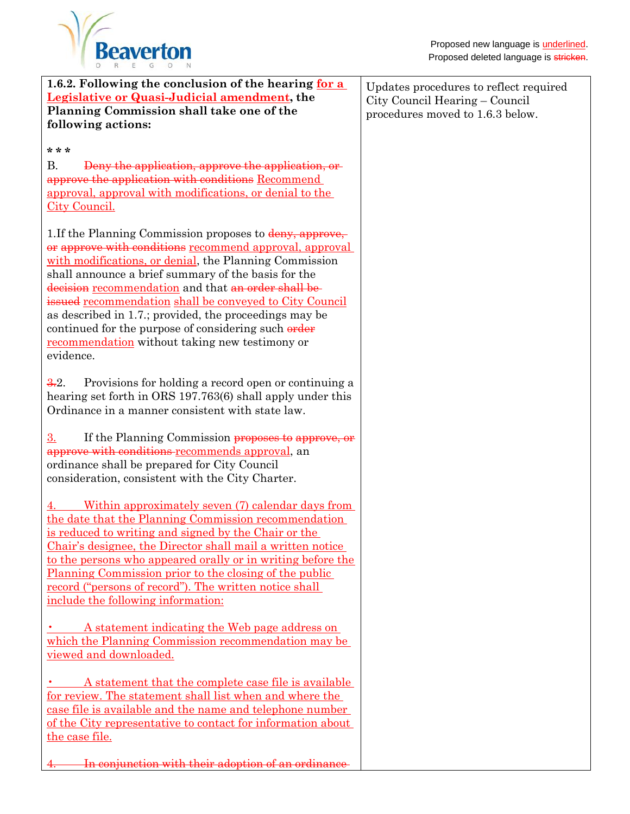| 1.6.2. Following the conclusion of the hearing for a<br><b>Legislative or Quasi-Judicial amendment, the</b><br>Planning Commission shall take one of the<br>following actions:                                                                                                                                                                                                                                                                                                                                                         | Updates procedures to reflect required<br>City Council Hearing – Council<br>procedures moved to 1.6.3 below. |
|----------------------------------------------------------------------------------------------------------------------------------------------------------------------------------------------------------------------------------------------------------------------------------------------------------------------------------------------------------------------------------------------------------------------------------------------------------------------------------------------------------------------------------------|--------------------------------------------------------------------------------------------------------------|
| * * *<br><b>B.</b><br>Deny the application, approve the application, or<br>approve the application with conditions Recommend<br><u>approval, approval with modifications, or denial to the</u><br><b>City Council.</b>                                                                                                                                                                                                                                                                                                                 |                                                                                                              |
| 1. If the Planning Commission proposes to deny, approve,<br>or approve with conditions recommend approval, approval<br>with modifications, or denial, the Planning Commission<br>shall announce a brief summary of the basis for the<br>decision recommendation and that an order shall be-<br>issued recommendation shall be conveyed to City Council<br>as described in 1.7.; provided, the proceedings may be<br>continued for the purpose of considering such order<br>recommendation without taking new testimony or<br>evidence. |                                                                                                              |
| 3.2.<br>Provisions for holding a record open or continuing a<br>hearing set forth in ORS 197.763(6) shall apply under this<br>Ordinance in a manner consistent with state law.                                                                                                                                                                                                                                                                                                                                                         |                                                                                                              |
| 3.<br>If the Planning Commission proposes to approve, or<br>approve with conditions recommends approval, an<br>ordinance shall be prepared for City Council<br>consideration, consistent with the City Charter.                                                                                                                                                                                                                                                                                                                        |                                                                                                              |
| Within approximately seven (7) calendar days from<br>the date that the Planning Commission recommendation<br>is reduced to writing and signed by the Chair or the<br>Chair's designee, the Director shall mail a written notice<br>to the persons who appeared orally or in writing before the<br><u>Planning Commission prior to the closing of the public</u><br><u>record</u> ("persons of record"). The written notice shall<br>include the following information:                                                                 |                                                                                                              |
| A statement indicating the Web page address on<br>which the Planning Commission recommendation may be<br>viewed and downloaded.                                                                                                                                                                                                                                                                                                                                                                                                        |                                                                                                              |
| A statement that the complete case file is available<br>for review. The statement shall list when and where the<br>case file is available and the name and telephone number<br>of the City representative to contact for information about<br>the case file.                                                                                                                                                                                                                                                                           |                                                                                                              |
| In conjunction with their adoption of an ordinance                                                                                                                                                                                                                                                                                                                                                                                                                                                                                     |                                                                                                              |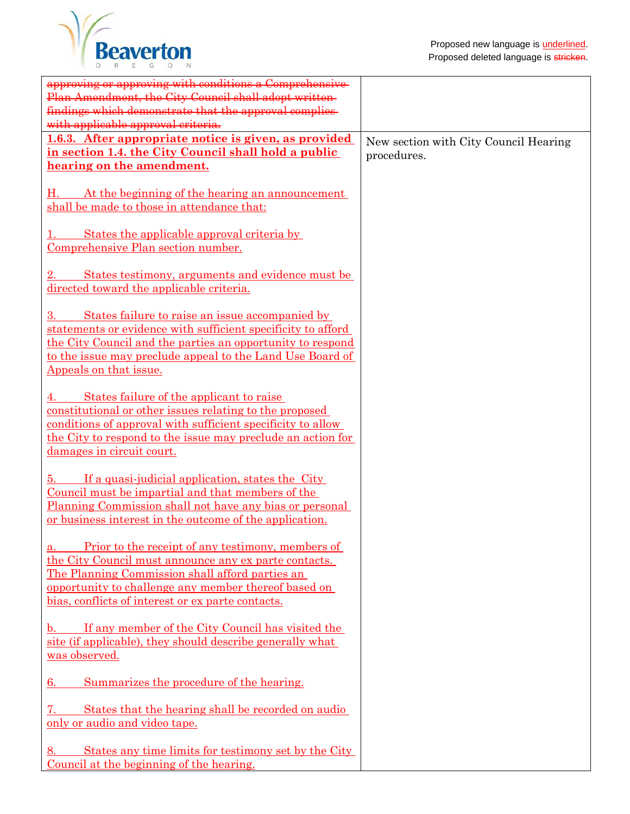

| approving or approving with conditions a Comprehensive-<br>Plan Amendment, the City Council shall adopt written-<br>findings which demonstrate that the approval complies-<br>with applicable approval criteria.                                                           |                                                      |
|----------------------------------------------------------------------------------------------------------------------------------------------------------------------------------------------------------------------------------------------------------------------------|------------------------------------------------------|
| 1.6.3. After appropriate notice is given, as provided<br>in section 1.4. the City Council shall hold a public<br>hearing on the amendment.                                                                                                                                 | New section with City Council Hearing<br>procedures. |
| At the beginning of the hearing an announcement<br>shall be made to those in attendance that:                                                                                                                                                                              |                                                      |
| States the applicable approval criteria by<br>Comprehensive Plan section number.                                                                                                                                                                                           |                                                      |
| <u>States testimony, arguments and evidence must be</u><br>directed toward the applicable criteria.                                                                                                                                                                        |                                                      |
| States failure to raise an issue accompanied by<br>statements or evidence with sufficient specificity to afford<br>the City Council and the parties an opportunity to respond<br>to the issue may preclude appeal to the Land Use Board of<br>Appeals on that issue.       |                                                      |
| States failure of the applicant to raise<br><u>constitutional or other issues relating to the proposed</u><br>conditions of approval with sufficient specificity to allow<br>the City to respond to the issue may preclude an action for<br>damages in circuit court.      |                                                      |
| If a quasi-judicial application, states the City<br>ð.<br>Council must be impartial and that members of the<br>Planning Commission shall not have any bias or personal<br>or business interest in the outcome of the application.                                          |                                                      |
| Prior to the receipt of any testimony, members of<br>the City Council must announce any ex parte contacts.<br>The Planning Commission shall afford parties an<br>opportunity to challenge any member thereof based on<br>bias, conflicts of interest or ex parte contacts. |                                                      |
| b. If any member of the City Council has visited the<br>site (if applicable), they should describe generally what<br>was observed.                                                                                                                                         |                                                      |
| Summarizes the procedure of the hearing.<br>6.                                                                                                                                                                                                                             |                                                      |
| States that the hearing shall be recorded on audio<br><u>only or audio and video tape.</u>                                                                                                                                                                                 |                                                      |
| States any time limits for testimony set by the City<br>8.<br><u>Council at the beginning of the hearing.</u>                                                                                                                                                              |                                                      |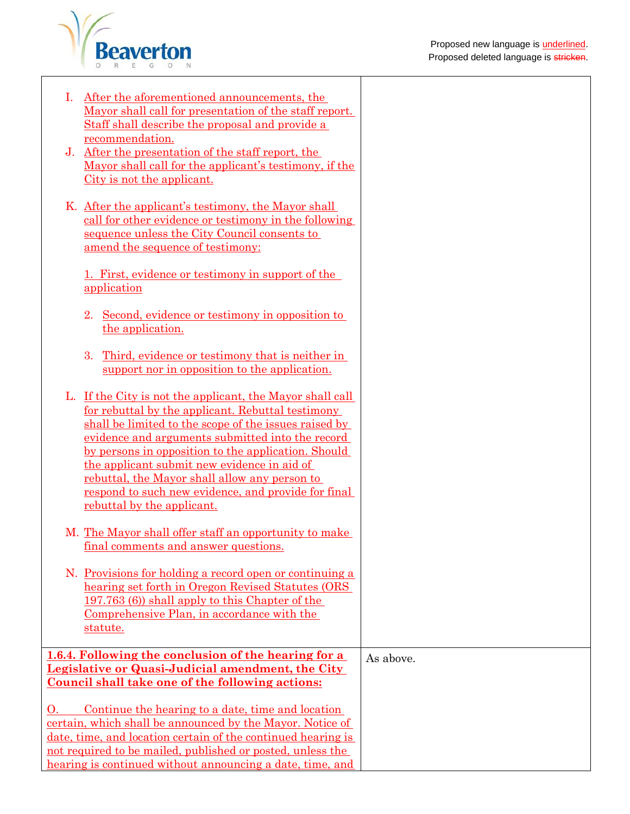

|                                                                                                                           | After the aforementioned announcements, the<br>Mayor shall call for presentation of the staff report.<br>Staff shall describe the proposal and provide a<br>recommendation.                                                                                                                                                                                                                                                                                                    |           |
|---------------------------------------------------------------------------------------------------------------------------|--------------------------------------------------------------------------------------------------------------------------------------------------------------------------------------------------------------------------------------------------------------------------------------------------------------------------------------------------------------------------------------------------------------------------------------------------------------------------------|-----------|
| J.                                                                                                                        | After the presentation of the staff report, the<br>Mayor shall call for the applicant's testimony, if the<br>City is not the applicant.                                                                                                                                                                                                                                                                                                                                        |           |
|                                                                                                                           | K. After the applicant's testimony, the Mayor shall<br>call for other evidence or testimony in the following<br>sequence unless the City Council consents to<br>amend the sequence of testimony:                                                                                                                                                                                                                                                                               |           |
|                                                                                                                           | <u>1. First, evidence or testimony in support of the</u><br>application                                                                                                                                                                                                                                                                                                                                                                                                        |           |
|                                                                                                                           | Second, evidence or testimony in opposition to<br>2.<br>the application.                                                                                                                                                                                                                                                                                                                                                                                                       |           |
|                                                                                                                           | 3.<br>Third, evidence or testimony that is neither in<br>support nor in opposition to the application.                                                                                                                                                                                                                                                                                                                                                                         |           |
|                                                                                                                           | L. If the City is not the applicant, the Mayor shall call<br>for rebuttal by the applicant. Rebuttal testimony<br>shall be limited to the scope of the issues raised by<br>evidence and arguments submitted into the record<br>by persons in opposition to the application. Should<br>the applicant submit new evidence in aid of<br>rebuttal, the Mayor shall allow any person to<br><u>respond to such new evidence, and provide for final</u><br>rebuttal by the applicant. |           |
|                                                                                                                           | M. The Mayor shall offer staff an opportunity to make<br>final comments and answer questions.                                                                                                                                                                                                                                                                                                                                                                                  |           |
|                                                                                                                           | N. Provisions for holding a record open or continuing a<br>hearing set forth in Oregon Revised Statutes (ORS<br>197.763 (6) shall apply to this Chapter of the<br>Comprehensive Plan, in accordance with the<br>statute.                                                                                                                                                                                                                                                       |           |
|                                                                                                                           | 1.6.4. Following the conclusion of the hearing for a                                                                                                                                                                                                                                                                                                                                                                                                                           | As above. |
|                                                                                                                           | Legislative or Quasi-Judicial amendment, the City                                                                                                                                                                                                                                                                                                                                                                                                                              |           |
|                                                                                                                           | Council shall take one of the following actions:                                                                                                                                                                                                                                                                                                                                                                                                                               |           |
| О.                                                                                                                        | Continue the hearing to a date, time and location                                                                                                                                                                                                                                                                                                                                                                                                                              |           |
| certain, which shall be announced by the Mayor. Notice of<br>date, time, and location certain of the continued hearing is |                                                                                                                                                                                                                                                                                                                                                                                                                                                                                |           |
| not required to be mailed, published or posted, unless the                                                                |                                                                                                                                                                                                                                                                                                                                                                                                                                                                                |           |
|                                                                                                                           | hearing is continued without announcing a date, time, and                                                                                                                                                                                                                                                                                                                                                                                                                      |           |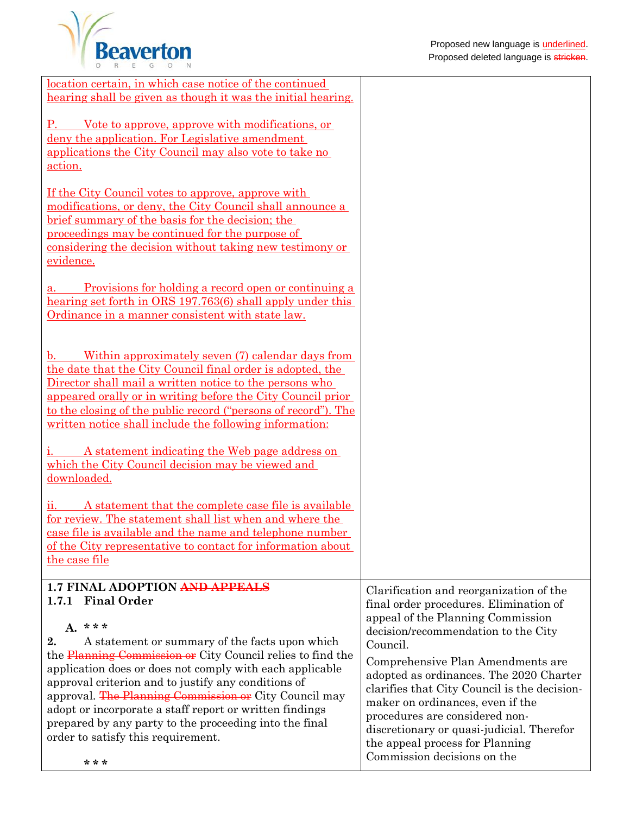



| <u>location certain, in which case notice of the continued</u>                                                          |                                                                             |
|-------------------------------------------------------------------------------------------------------------------------|-----------------------------------------------------------------------------|
| hearing shall be given as though it was the initial hearing.                                                            |                                                                             |
| Vote to approve, approve with modifications, or<br>P.                                                                   |                                                                             |
| deny the application. For Legislative amendment                                                                         |                                                                             |
| applications the City Council may also vote to take no                                                                  |                                                                             |
| action.                                                                                                                 |                                                                             |
| <u>If the City Council votes to approve, approve with</u>                                                               |                                                                             |
| modifications, or deny, the City Council shall announce a                                                               |                                                                             |
| brief summary of the basis for the decision; the                                                                        |                                                                             |
| proceedings may be continued for the purpose of<br>considering the decision without taking new testimony or             |                                                                             |
| evidence.                                                                                                               |                                                                             |
|                                                                                                                         |                                                                             |
| Provisions for holding a record open or continuing a                                                                    |                                                                             |
| hearing set forth in ORS 197.763(6) shall apply under this                                                              |                                                                             |
| Ordinance in a manner consistent with state law.                                                                        |                                                                             |
|                                                                                                                         |                                                                             |
| Within approximately seven (7) calendar days from<br>$\mathbf{b}$ .                                                     |                                                                             |
| the date that the City Council final order is adopted, the                                                              |                                                                             |
| Director shall mail a written notice to the persons who<br>appeared orally or in writing before the City Council prior  |                                                                             |
| to the closing of the public record ("persons of record"). The                                                          |                                                                             |
| written notice shall include the following information:                                                                 |                                                                             |
|                                                                                                                         |                                                                             |
| A statement indicating the Web page address on<br>which the City Council decision may be viewed and                     |                                                                             |
| downloaded.                                                                                                             |                                                                             |
|                                                                                                                         |                                                                             |
| A statement that the complete case file is available<br>11.                                                             |                                                                             |
| for review. The statement shall list when and where the                                                                 |                                                                             |
| case file is available and the name and telephone number<br>of the City representative to contact for information about |                                                                             |
| the case file                                                                                                           |                                                                             |
|                                                                                                                         |                                                                             |
| <b>1.7 FINAL ADOPTION AND APPEALS</b><br><b>Final Order</b><br>1.7.1                                                    | Clarification and reorganization of the                                     |
|                                                                                                                         | final order procedures. Elimination of<br>appeal of the Planning Commission |
| $A.***$                                                                                                                 | decision/recommendation to the City                                         |
| 2.<br>A statement or summary of the facts upon which                                                                    | Council.                                                                    |
| the Planning Commission or City Council relies to find the                                                              | Comprehensive Plan Amendments are                                           |
| application does or does not comply with each applicable<br>approval criterion and to justify any conditions of         | adopted as ordinances. The 2020 Charter                                     |
| approval. The Planning Commission or City Council may                                                                   | clarifies that City Council is the decision-                                |
| adopt or incorporate a staff report or written findings                                                                 | maker on ordinances, even if the<br>procedures are considered non-          |
| prepared by any party to the proceeding into the final                                                                  | discretionary or quasi-judicial. Therefor                                   |
| order to satisfy this requirement.                                                                                      | the appeal process for Planning                                             |
| ملہ ملہ ملہ                                                                                                             | Commission decisions on the                                                 |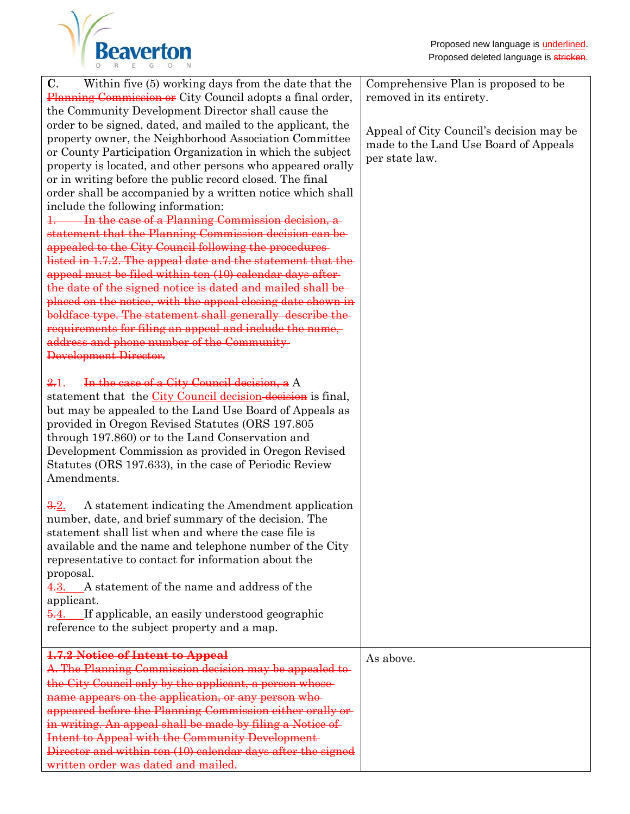

| Within five (5) working days from the date that the<br>$\mathbf{C}$ .<br><b>Planning Commission or</b> City Council adopts a final order,<br>the Community Development Director shall cause the<br>order to be signed, dated, and mailed to the applicant, the<br>property owner, the Neighborhood Association Committee<br>or County Participation Organization in which the subject<br>property is located, and other persons who appeared orally<br>or in writing before the public record closed. The final<br>order shall be accompanied by a written notice which shall<br>include the following information:<br>1. In the case of a Planning Commission decision, a<br>statement that the Planning Commission decision can be<br>appealed to the City Council following the procedures-<br>listed in 1.7.2. The appeal date and the statement that the<br>appeal must be filed within ten (10) calendar days after-<br>the date of the signed notice is dated and mailed shall be<br>placed on the notice, with the appeal closing date shown in<br>boldface type. The statement shall generally describe the<br>requirements for filing an appeal and include the name,<br>address and phone number of the Community<br>Development Director.<br>In the case of a City Council decision, a A<br>2.1.<br>statement that the City Council decision-decision is final,<br>but may be appealed to the Land Use Board of Appeals as<br>provided in Oregon Revised Statutes (ORS 197.805)<br>through 197.860) or to the Land Conservation and<br>Development Commission as provided in Oregon Revised<br>Statutes (ORS 197.633), in the case of Periodic Review<br>Amendments.<br>A statement indicating the Amendment application<br>3.2.<br>number, date, and brief summary of the decision. The<br>statement shall list when and where the case file is | Comprehensive Plan is proposed to be<br>removed in its entirety.<br>Appeal of City Council's decision may be<br>made to the Land Use Board of Appeals<br>per state law. |
|--------------------------------------------------------------------------------------------------------------------------------------------------------------------------------------------------------------------------------------------------------------------------------------------------------------------------------------------------------------------------------------------------------------------------------------------------------------------------------------------------------------------------------------------------------------------------------------------------------------------------------------------------------------------------------------------------------------------------------------------------------------------------------------------------------------------------------------------------------------------------------------------------------------------------------------------------------------------------------------------------------------------------------------------------------------------------------------------------------------------------------------------------------------------------------------------------------------------------------------------------------------------------------------------------------------------------------------------------------------------------------------------------------------------------------------------------------------------------------------------------------------------------------------------------------------------------------------------------------------------------------------------------------------------------------------------------------------------------------------------------------------------------------------------------------------------------------------------------------------|-------------------------------------------------------------------------------------------------------------------------------------------------------------------------|
| available and the name and telephone number of the City<br>representative to contact for information about the<br>proposal.<br>4.3. A statement of the name and address of the<br>applicant.<br>If applicable, an easily understood geographic<br><del>5.</del> 4.<br>reference to the subject property and a map.                                                                                                                                                                                                                                                                                                                                                                                                                                                                                                                                                                                                                                                                                                                                                                                                                                                                                                                                                                                                                                                                                                                                                                                                                                                                                                                                                                                                                                                                                                                                           |                                                                                                                                                                         |
| 1.7.2 Notice of Intent to Appeal<br>A. The Planning Commission decision may be appealed to-<br>the City Council only by the applicant, a person whose-<br>name appears on the application, or any person who-<br>appeared before the Planning Commission either orally or<br>in writing. An appeal shall be made by filing a Notice of<br>Intent to Appeal with the Community Development<br>Director and within ten (10) calendar days after the signed<br>written order was dated and mailed.                                                                                                                                                                                                                                                                                                                                                                                                                                                                                                                                                                                                                                                                                                                                                                                                                                                                                                                                                                                                                                                                                                                                                                                                                                                                                                                                                              | As above.                                                                                                                                                               |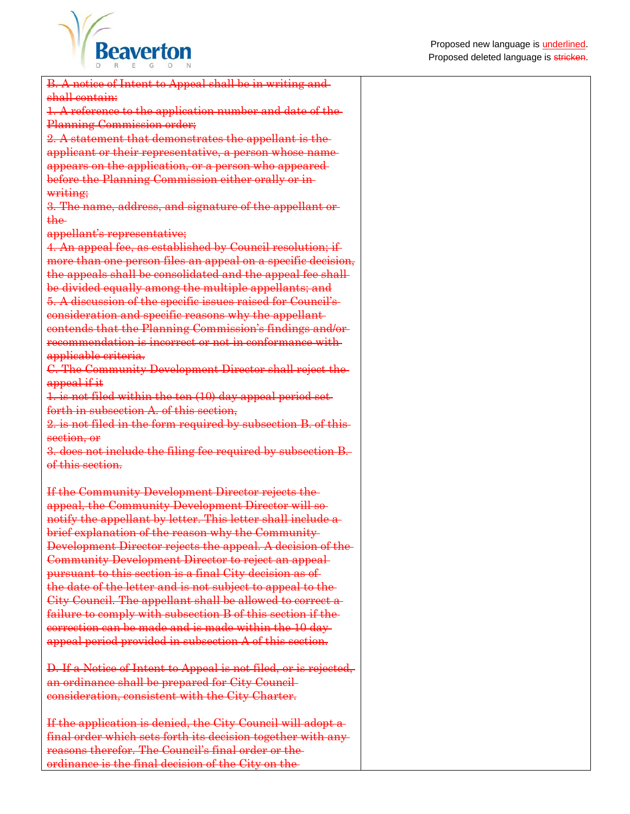

| B. A notice of Intent to Appeal shall be in writing and-                                                              |  |
|-----------------------------------------------------------------------------------------------------------------------|--|
| shall contain:                                                                                                        |  |
| 1. A reference to the application number and date of the<br>Planning Commission order;                                |  |
| 2. A statement that demonstrates the appellant is the-                                                                |  |
| applicant or their representative, a person whose name-                                                               |  |
| appears on the application, or a person who appeared-                                                                 |  |
| before the Planning Commission either orally or in-                                                                   |  |
| writing;                                                                                                              |  |
| 3. The name, address, and signature of the appellant or-                                                              |  |
| the-                                                                                                                  |  |
| appellant's representative;                                                                                           |  |
| 4. An appeal fee, as established by Council resolution; if                                                            |  |
| more than one person files an appeal on a specific decision,                                                          |  |
| the appeals shall be consolidated and the appeal fee shall                                                            |  |
|                                                                                                                       |  |
| be divided equally among the multiple appellants; and<br>5. A discussion of the specific issues raised for Council's- |  |
|                                                                                                                       |  |
| consideration and specific reasons why the appellant-                                                                 |  |
| contends that the Planning Commission's findings and/or-<br>recommendation is incorrect or not in conformance with    |  |
|                                                                                                                       |  |
| applicable criteria.                                                                                                  |  |
| C. The Community Development Director shall reject the                                                                |  |
| appeal if it                                                                                                          |  |
| 1. is not filed within the ten (10) day appeal period set-                                                            |  |
| forth in subsection A. of this section,                                                                               |  |
| 2. is not filed in the form required by subsection B. of this-                                                        |  |
| section, or                                                                                                           |  |
| 3. does not include the filing fee required by subsection B.                                                          |  |
| of this section.                                                                                                      |  |
| If the Community Development Director rejects the-                                                                    |  |
| appeal, the Community Development Director will so-                                                                   |  |
| notify the appellant by letter. This letter shall include a-                                                          |  |
| brief explanation of the reason why the Community                                                                     |  |
| Development Director rejects the appeal. A decision of the-                                                           |  |
| Community Development Director to reject an appeal-                                                                   |  |
| pursuant to this section is a final City decision as of                                                               |  |
| the date of the letter and is not subject to appeal to the-                                                           |  |
| City Council. The appellant shall be allowed to correct a-                                                            |  |
| failure to comply with subsection B of this section if the-                                                           |  |
| eorrection can be made and is made within the 10 day                                                                  |  |
| appeal period provided in subsection A of this section.                                                               |  |
|                                                                                                                       |  |
| D. If a Notice of Intent to Appeal is not filed, or is rejected,                                                      |  |
| an ordinance shall be prepared for City Council-                                                                      |  |
| consideration, consistent with the City Charter.                                                                      |  |
|                                                                                                                       |  |
| If the application is denied, the City Council will adopt a-                                                          |  |
| final order which sets forth its decision together with any-                                                          |  |
| reasons therefor. The Council's final order or the-                                                                   |  |
|                                                                                                                       |  |

ordinance is the final decision of the City on the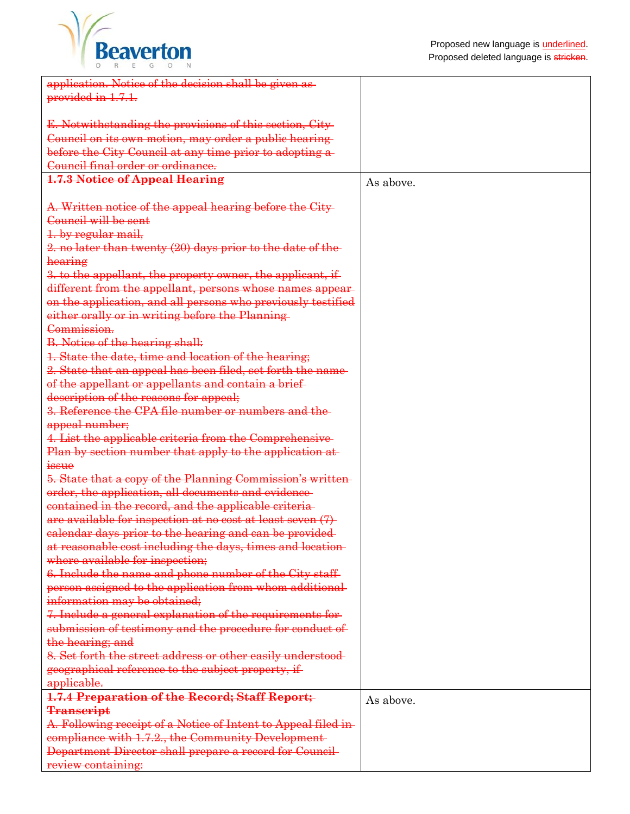

| application. Notice of the decision shall be given as-         |           |
|----------------------------------------------------------------|-----------|
| provided in 1.7.1.                                             |           |
|                                                                |           |
|                                                                |           |
| E. Notwithstanding the provisions of this section, City-       |           |
| Council on its own motion, may order a public hearing-         |           |
| before the City Council at any time prior to adopting a-       |           |
| Council final order or ordinance.                              |           |
| <b>1.7.3 Notice of Appeal Hearing</b>                          | As above. |
|                                                                |           |
| A. Written notice of the appeal hearing before the City-       |           |
| Council will be sent                                           |           |
|                                                                |           |
| 1. by regular mail,                                            |           |
| 2. no later than twenty (20) days prior to the date of the     |           |
| hearing                                                        |           |
| 3. to the appellant, the property owner, the applicant, if     |           |
| different from the appellant, persons whose names appear-      |           |
| on the application, and all persons who previously testified   |           |
| either orally or in writing before the Planning-               |           |
| Commission.                                                    |           |
|                                                                |           |
| <b>B.</b> Notice of the hearing shall:                         |           |
| 1. State the date, time and location of the hearing;           |           |
| 2. State that an appeal has been filed, set forth the name-    |           |
| of the appellant or appellants and contain a brief-            |           |
| description of the reasons for appeal;                         |           |
| 3. Reference the CPA file number or numbers and the            |           |
| appeal number;                                                 |           |
| 4. List the applicable criteria from the Comprehensive         |           |
| Plan by section number that apply to the application at        |           |
| issue                                                          |           |
| 5. State that a copy of the Planning Commission's written-     |           |
|                                                                |           |
| order, the application, all documents and evidence-            |           |
| contained in the record, and the applicable criteria-          |           |
| are available for inspection at no cost at least seven (7)     |           |
| calendar days prior to the hearing and can be provided         |           |
| at reasonable cost including the days, times and location-     |           |
| where available for inspection;                                |           |
| 6. Include the name and phone number of the City staff-        |           |
| person assigned to the application from whom additional-       |           |
| information may be obtained;                                   |           |
| 7. Include a general explanation of the requirements for-      |           |
| submission of testimony and the procedure for conduct of-      |           |
|                                                                |           |
| the hearing; and                                               |           |
| 8. Set forth the street address or other easily understood-    |           |
| geographical reference to the subject property, if             |           |
| applicable.                                                    |           |
| 1.7.4 Preparation of the Record; Staff Report;                 | As above. |
| <b>Transcript</b>                                              |           |
| A. Following receipt of a Notice of Intent to Appeal filed in- |           |
| compliance with 1.7.2., the Community Development-             |           |
| Department Director shall prepare a record for Council-        |           |
| review containing:                                             |           |
|                                                                |           |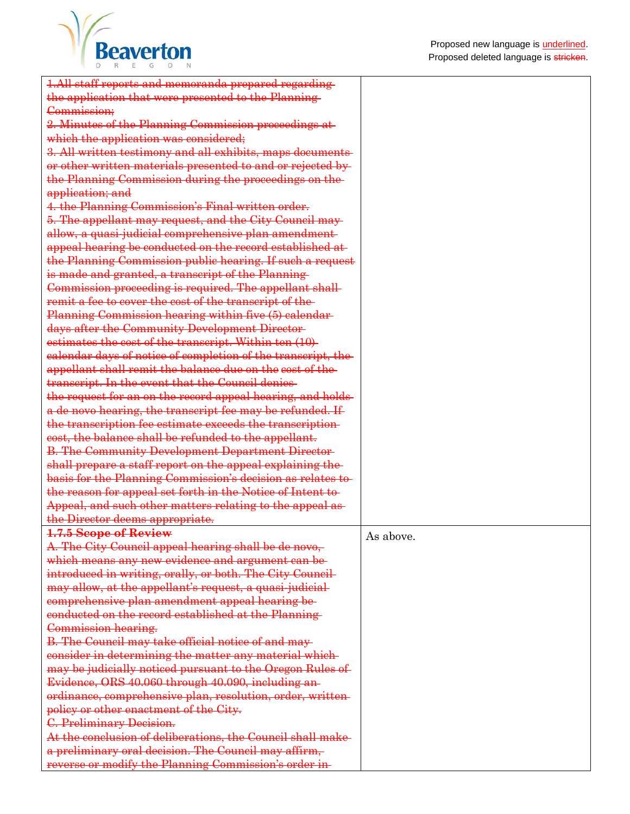

| 1.All staff reports and memoranda prepared regarding-        |           |
|--------------------------------------------------------------|-----------|
| the application that were presented to the Planning-         |           |
| Commission;                                                  |           |
| 2. Minutes of the Planning Commission proceedings at-        |           |
| which the application was considered;                        |           |
| 3. All written testimony and all exhibits, maps documents-   |           |
| or other written materials presented to and or rejected by-  |           |
| the Planning Commission during the proceedings on the-       |           |
| application; and                                             |           |
| 4. the Planning Commission's Final written order.            |           |
| 5. The appellant may request, and the City Council may-      |           |
| allow, a quasi-judicial comprehensive plan amendment-        |           |
| appeal hearing be conducted on the record established at-    |           |
| the Planning Commission public hearing. If such a request    |           |
| is made and granted, a transcript of the Planning-           |           |
| Commission proceeding is required. The appellant shall-      |           |
| remit a fee to cover the cost of the transcript of the-      |           |
| Planning Commission hearing within five (5) calendar-        |           |
|                                                              |           |
| days after the Community Development Director-               |           |
| estimates the cost of the transcript. Within ten (10)-       |           |
| ealendar days of notice of completion of the transcript, the |           |
| appellant shall remit the balance due on the cost of the-    |           |
| transcript. In the event that the Council denies-            |           |
| the request for an on the record appeal hearing, and holds-  |           |
| a de novo hearing, the transcript fee may be refunded. If    |           |
| the transcription fee estimate exceeds the transcription-    |           |
| eost, the balance shall be refunded to the appellant.        |           |
| <b>B. The Community Development Department Director-</b>     |           |
| shall prepare a staff report on the appeal explaining the-   |           |
| basis for the Planning Commission's decision as relates to-  |           |
| the reason for appeal set forth in the Notice of Intent to-  |           |
| Appeal, and such other matters relating to the appeal as-    |           |
| the Director deems appropriate.                              |           |
| 1.7.5 Scope of Review                                        | As above. |
| A. The City Council appeal hearing shall be de novo,         |           |
| which means any new evidence and argument can be-            |           |
| introduced in writing, orally, or both. The City Council-    |           |
| may allow, at the appellant's request, a quasi-judicial-     |           |
| comprehensive plan amendment appeal hearing be-              |           |
| conducted on the record established at the Planning          |           |
| Commission hearing.                                          |           |
| B. The Council may take official notice of and may-          |           |
| consider in determining the matter any material which-       |           |
| may be judicially noticed pursuant to the Oregon Rules of    |           |
| Evidence, ORS 40.060 through 40.090, including an-           |           |
| ordinance, comprehensive plan, resolution, order, written-   |           |
| policy or other enactment of the City.                       |           |
| C. Preliminary Decision.                                     |           |
| At the conclusion of deliberations, the Council shall make-  |           |
| a preliminary oral decision. The Council may affirm,         |           |
| reverse or modify the Planning Commission's order in-        |           |
|                                                              |           |